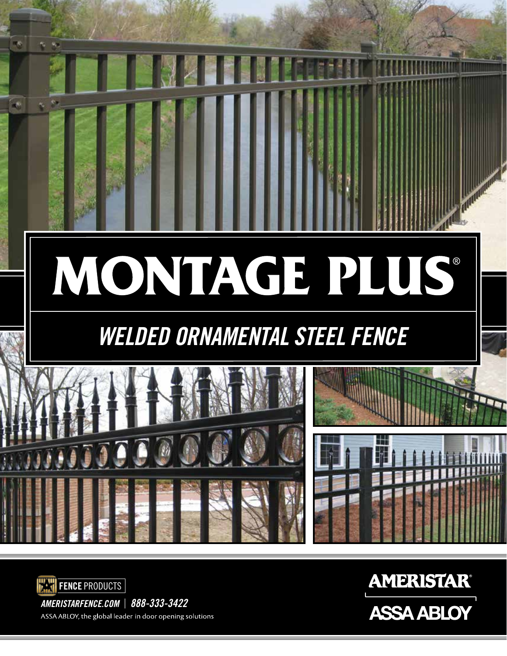



*AMERISTARFENCE.COM* | *888-333-3422* ASSA ABLOY, the global leader in door opening solutions

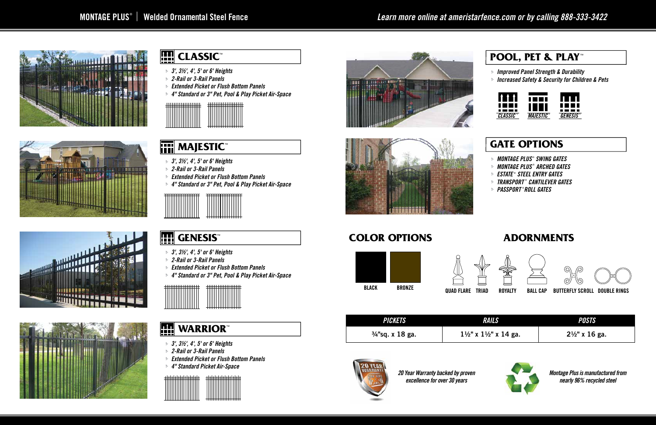



# ministra de la la



## **EEE** CLASSIC™

#### **GATE OPTIONS**

#### $\left| \begin{array}{c} 1 \\ \hline \end{array} \right|$ **WARRIOR™**

- *MONTAGE PLUS* ® *SWING GATES* j
- *MONTAGE PLUS* ® *ARCHED GATES* j
- *ESTATE* ®  *STEEL ENTRY GATES* j
- *TRANSPORT* ® *CANTILEVER GATES* j
- *PASSPORT* ® *ROLL GATES* j



#### **POOL, PET & PLAY ™**

*Improved Panel Strength & Durability* j

#### Fili **MAJESTIC™**

*Increased Safety & Security for Children & Pets* j

- *3', 3½', 4', 5' or 6' Heights* j
- *2-Rail or 3-Rail Panels* j
- *Extended Picket or Flush Bottom Panels* j
- *4" Standard Picket Air-Space* j







- *3', 3½', 4', 5' or 6' Heights* j
- *2-Rail or 3-Rail Panels* j
- *Extended Picket or Flush Bottom Panels* j
- *4" Standard or 3" Pet, Pool & Play Picket Air-Space* j



- *3', 3½', 4', 5' or 6' Heights* j
- *2-Rail or 3-Rail Panels* j
- *Extended Picket or Flush Bottom Panels* j
- *4" Standard or 3" Pet, Pool & Play Picket Air-Space* j



### **GENESIS**

- *3', 3½', 4', 5' or 6' Heights* j
- *2-Rail or 3-Rail Panels* j
- *Extended Picket or Flush Bottom Panels* j
- *4" Standard or 3" Pet, Pool & Play Picket Air-Space* j

| <u>111111111111111111</u> | ,,,,,,,,,,,,,,,, |
|---------------------------|------------------|
| <del>.</del>              |                  |
|                           |                  |
|                           | <del>.</del>     |

#### **COLOR OPTIONS ADORNMENTS**





| <i><b>PICKETS</b></i>       | <b>RAILS</b>                                 | <b>POSTS</b>              |
|-----------------------------|----------------------------------------------|---------------------------|
| $\frac{3}{4}$ "sq. x 18 ga. | $1\frac{1}{2}$ " x $1\frac{1}{2}$ " x 14 ga. | $2\frac{1}{2}$ " x 16 ga. |



*Montage Plus is manufactured from nearly 96% recycled steel*

*20 Year Warranty backed by proven excellence for over 30 years*